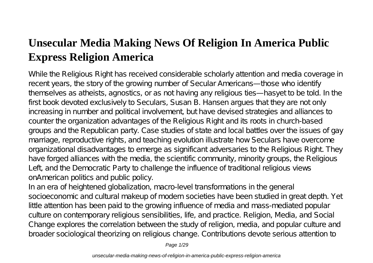# **Unsecular Media Making News Of Religion In America Public Express Religion America**

While the Religious Right has received considerable scholarly attention and media coverage in recent years, the story of the growing number of Secular Americans—those who identify themselves as atheists, agnostics, or as not having any religious ties—hasyet to be told. In the first book devoted exclusively to Seculars, Susan B. Hansen argues that they are not only increasing in number and political involvement, but have devised strategies and alliances to counter the organization advantages of the Religious Right and its roots in church-based groups and the Republican party. Case studies of state and local battles over the issues of gay marriage, reproductive rights, and teaching evolution illustrate how Seculars have overcome organizational disadvantages to emerge as significant adversaries to the Religious Right. They have forged alliances with the media, the scientific community, minority groups, the Religious Left, and the Democratic Party to challenge the influence of traditional religious views onAmerican politics and public policy.

In an era of heightened globalization, macro-level transformations in the general socioeconomic and cultural makeup of modern societies have been studied in great depth. Yet little attention has been paid to the growing influence of media and mass-mediated popular culture on contemporary religious sensibilities, life, and practice. Religion, Media, and Social Change explores the correlation between the study of religion, media, and popular culture and broader sociological theorizing on religious change. Contributions devote serious attention to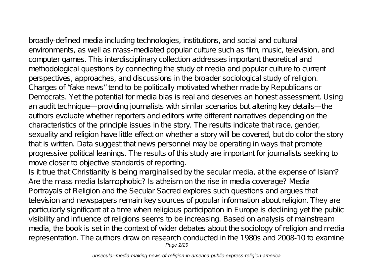broadly-defined media including technologies, institutions, and social and cultural environments, as well as mass-mediated popular culture such as film, music, television, and computer games. This interdisciplinary collection addresses important theoretical and methodological questions by connecting the study of media and popular culture to current perspectives, approaches, and discussions in the broader sociological study of religion. Charges of "fake news" tend to be politically motivated whether made by Republicans or Democrats. Yet the potential for media bias is real and deserves an honest assessment. Using an audit technique—providing journalists with similar scenarios but altering key details—the authors evaluate whether reporters and editors write different narratives depending on the characteristics of the principle issues in the story. The results indicate that race, gender, sexuality and religion have little effect on whether a story will be covered, but do color the story that is written. Data suggest that news personnel may be operating in ways that promote progressive political leanings. The results of this study are important for journalists seeking to move closer to objective standards of reporting.

Is it true that Christianity is being marginalised by the secular media, at the expense of Islam? Are the mass media Islamophobic? Is atheism on the rise in media coverage? Media Portrayals of Religion and the Secular Sacred explores such questions and argues that television and newspapers remain key sources of popular information about religion. They are particularly significant at a time when religious participation in Europe is declining yet the public visibility and influence of religions seems to be increasing. Based on analysis of mainstream media, the book is set in the context of wider debates about the sociology of religion and media representation. The authors draw on research conducted in the 1980s and 2008-10 to examine Page 2/29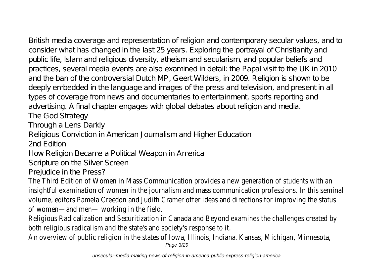British media coverage and representation of religion and contemporary secular values, and to consider what has changed in the last 25 years. Exploring the portrayal of Christianity and public life, Islam and religious diversity, atheism and secularism, and popular beliefs and practices, several media events are also examined in detail: the Papal visit to the UK in 2010 and the ban of the controversial Dutch MP, Geert Wilders, in 2009. Religion is shown to be deeply embedded in the language and images of the press and television, and present in all types of coverage from news and documentaries to entertainment, sports reporting and advertising. A final chapter engages with global debates about religion and media.

The God Strategy

Through a Lens Darkly

Religious Conviction in American Journalism and Higher Education

2nd Edition

How Religion Became a Political Weapon in America

Scripture on the Silver Screen

Prejudice in the Press?

The Third Edition of Women in Mass Communication provides a new generation of students with an insightful examination of women in the journalism and mass communication professions. In this seminal volume, editors Pamela Creedon and Judith Cramer offer ideas and directions for improving the status of women—and men— working in the field.

Religious Radicalization and Securitization in Canada and Beyond examines the challenges created by both religious radicalism and the state's and society's response to it.

An overview of public religion in the states of Iowa, Illinois, Indiana, Kansas, Michigan, Minnesota,

Page 3/29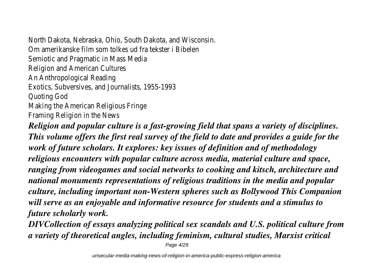North Dakota, Nebraska, Ohio, South Dakota, and Wisconsin. Om amerikanske film som tolkes ud fra tekster i Bibelen Semiotic and Pragmatic in Mass Media Religion and American Cultures An Anthropological Reading Exotics, Subversives, and Journalists, 1955-1993 Quoting God Making the American Religious Fringe Framing Religion in the News

*Religion and popular culture is a fast-growing field that spans a variety of disciplines. This volume offers the first real survey of the field to date and provides a guide for the work of future scholars. It explores: key issues of definition and of methodology religious encounters with popular culture across media, material culture and space, ranging from videogames and social networks to cooking and kitsch, architecture and national monuments representations of religious traditions in the media and popular culture, including important non-Western spheres such as Bollywood This Companion will serve as an enjoyable and informative resource for students and a stimulus to future scholarly work.*

*DIVCollection of essays analyzing political sex scandals and U.S. political culture from a variety of theoretical angles, including feminism, cultural studies, Marxist critical*

Page 4/29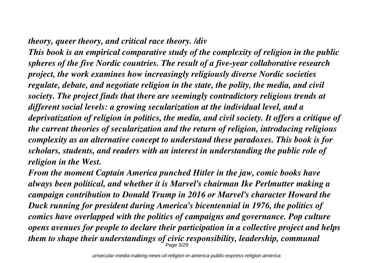### *theory, queer theory, and critical race theory. /div*

*This book is an empirical comparative study of the complexity of religion in the public spheres of the five Nordic countries. The result of a five-year collaborative research project, the work examines how increasingly religiously diverse Nordic societies regulate, debate, and negotiate religion in the state, the polity, the media, and civil society. The project finds that there are seemingly contradictory religious trends at different social levels: a growing secularization at the individual level, and a deprivatization of religion in politics, the media, and civil society. It offers a critique of the current theories of secularization and the return of religion, introducing religious complexity as an alternative concept to understand these paradoxes. This book is for scholars, students, and readers with an interest in understanding the public role of religion in the West.*

*From the moment Captain America punched Hitler in the jaw, comic books have always been political, and whether it is Marvel's chairman Ike Perlmutter making a campaign contribution to Donald Trump in 2016 or Marvel's character Howard the Duck running for president during America's bicentennial in 1976, the politics of comics have overlapped with the politics of campaigns and governance. Pop culture opens avenues for people to declare their participation in a collective project and helps them to shape their understandings of civic responsibility, leadership, communal* Page 5/29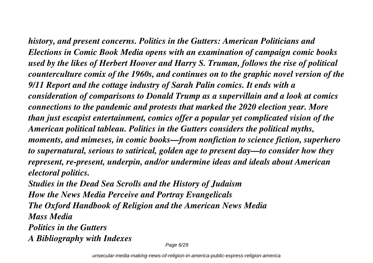*history, and present concerns. Politics in the Gutters: American Politicians and Elections in Comic Book Media opens with an examination of campaign comic books used by the likes of Herbert Hoover and Harry S. Truman, follows the rise of political counterculture comix of the 1960s, and continues on to the graphic novel version of the 9/11 Report and the cottage industry of Sarah Palin comics. It ends with a consideration of comparisons to Donald Trump as a supervillain and a look at comics connections to the pandemic and protests that marked the 2020 election year. More than just escapist entertainment, comics offer a popular yet complicated vision of the American political tableau. Politics in the Gutters considers the political myths, moments, and mimeses, in comic books—from nonfiction to science fiction, superhero to supernatural, serious to satirical, golden age to present day—to consider how they represent, re-present, underpin, and/or undermine ideas and ideals about American electoral politics.*

*Studies in the Dead Sea Scrolls and the History of Judaism How the News Media Perceive and Portray Evangelicals The Oxford Handbook of Religion and the American News Media Mass Media Politics in the Gutters A Bibliography with Indexes*

Page 6/29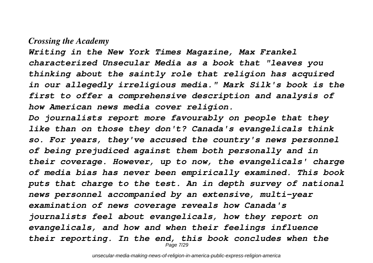### *Crossing the Academy*

*Writing in the New York Times Magazine, Max Frankel characterized Unsecular Media as a book that "leaves you thinking about the saintly role that religion has acquired in our allegedly irreligious media." Mark Silk's book is the first to offer a comprehensive description and analysis of how American news media cover religion.*

*Do journalists report more favourably on people that they like than on those they don't? Canada's evangelicals think so. For years, they've accused the country's news personnel of being prejudiced against them both personally and in their coverage. However, up to now, the evangelicals' charge of media bias has never been empirically examined. This book puts that charge to the test. An in depth survey of national news personnel accompanied by an extensive, multi-year examination of news coverage reveals how Canada's journalists feel about evangelicals, how they report on evangelicals, and how and when their feelings influence their reporting. In the end, this book concludes when the* Page 7/29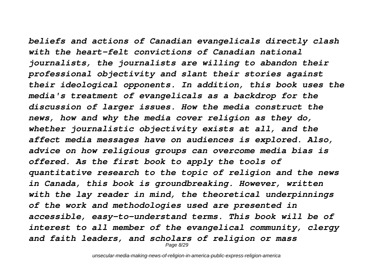*beliefs and actions of Canadian evangelicals directly clash with the heart-felt convictions of Canadian national journalists, the journalists are willing to abandon their professional objectivity and slant their stories against their ideological opponents. In addition, this book uses the media's treatment of evangelicals as a backdrop for the discussion of larger issues. How the media construct the news, how and why the media cover religion as they do, whether journalistic objectivity exists at all, and the affect media messages have on audiences is explored. Also, advice on how religious groups can overcome media bias is offered. As the first book to apply the tools of quantitative research to the topic of religion and the news in Canada, this book is groundbreaking. However, written with the lay reader in mind, the theoretical underpinnings of the work and methodologies used are presented in accessible, easy-to-understand terms. This book will be of interest to all member of the evangelical community, clergy and faith leaders, and scholars of religion or mass*

Page 8/29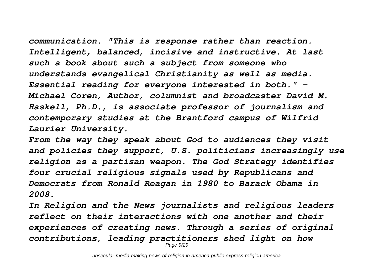*communication. "This is response rather than reaction. Intelligent, balanced, incisive and instructive. At last such a book about such a subject from someone who understands evangelical Christianity as well as media. Essential reading for everyone interested in both." - Michael Coren, Author, columnist and broadcaster David M. Haskell, Ph.D., is associate professor of journalism and contemporary studies at the Brantford campus of Wilfrid Laurier University.*

*From the way they speak about God to audiences they visit and policies they support, U.S. politicians increasingly use religion as a partisan weapon. The God Strategy identifies four crucial religious signals used by Republicans and Democrats from Ronald Reagan in 1980 to Barack Obama in 2008.*

*In Religion and the News journalists and religious leaders reflect on their interactions with one another and their experiences of creating news. Through a series of original contributions, leading practitioners shed light on how* Page 9/29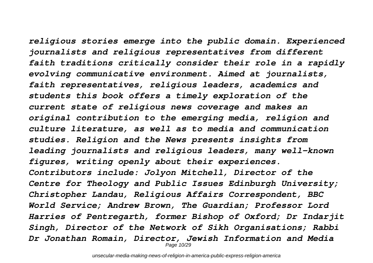*religious stories emerge into the public domain. Experienced journalists and religious representatives from different faith traditions critically consider their role in a rapidly evolving communicative environment. Aimed at journalists, faith representatives, religious leaders, academics and students this book offers a timely exploration of the current state of religious news coverage and makes an original contribution to the emerging media, religion and culture literature, as well as to media and communication studies. Religion and the News presents insights from leading journalists and religious leaders, many well-known figures, writing openly about their experiences. Contributors include: Jolyon Mitchell, Director of the Centre for Theology and Public Issues Edinburgh University; Christopher Landau, Religious Affairs Correspondent, BBC World Service; Andrew Brown, The Guardian; Professor Lord Harries of Pentregarth, former Bishop of Oxford; Dr Indarjit Singh, Director of the Network of Sikh Organisations; Rabbi Dr Jonathan Romain, Director, Jewish Information and Media* Page 10/29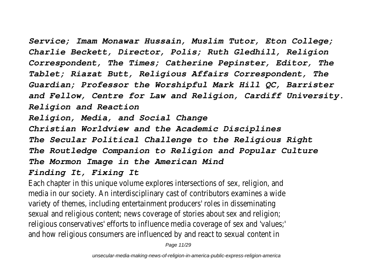*Service; Imam Monawar Hussain, Muslim Tutor, Eton College; Charlie Beckett, Director, Polis; Ruth Gledhill, Religion Correspondent, The Times; Catherine Pepinster, Editor, The Tablet; Riazat Butt, Religious Affairs Correspondent, The Guardian; Professor the Worshipful Mark Hill QC, Barrister and Fellow, Centre for Law and Religion, Cardiff University. Religion and Reaction Religion, Media, and Social Change Christian Worldview and the Academic Disciplines The Secular Political Challenge to the Religious Right The Routledge Companion to Religion and Popular Culture The Mormon Image in the American Mind*

### *Finding It, Fixing It*

Each chapter in this unique volume explores intersections of sex, religion, and media in our society. An interdisciplinary cast of contributors examines a wide variety of themes, including entertainment producers' roles in disseminating sexual and religious content; news coverage of stories about sex and religion; religious conservatives' efforts to influence media coverage of sex and 'values;' and how religious consumers are influenced by and react to sexual content in

Page 11/29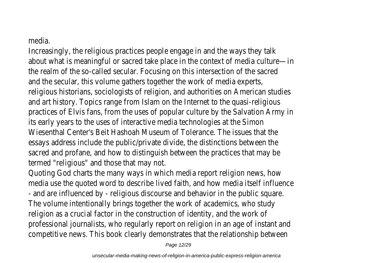### media.

Increasingly, the religious practices people engage in and the ways they talk about what is meaningful or sacred take place in the context of media culture—in the realm of the so-called secular. Focusing on this intersection of the sacred and the secular, this volume gathers together the work of media experts, religious historians, sociologists of religion, and authorities on American studies and art history. Topics range from Islam on the Internet to the quasi-religious practices of Elvis fans, from the uses of popular culture by the Salvation Army in its early years to the uses of interactive media technologies at the Simon Wiesenthal Center's Beit Hashoah Museum of Tolerance. The issues that the essays address include the public/private divide, the distinctions between the sacred and profane, and how to distinguish between the practices that may be termed "religious" and those that may not.

Quoting God charts the many ways in which media report religion news, how media use the quoted word to describe lived faith, and how media itself influence - and are influenced by - religious discourse and behavior in the public square. The volume intentionally brings together the work of academics, who study religion as a crucial factor in the construction of identity, and the work of professional journalists, who regularly report on religion in an age of instant and competitive news. This book clearly demonstrates that the relationship between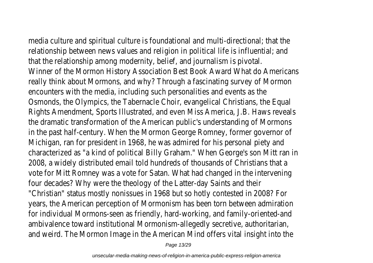media culture and spiritual culture is foundational and multi-directional; that the relationship between news values and religion in political life is influential; and that the relationship among modernity, belief, and journalism is pivotal. Winner of the Mormon History Association Best Book Award What do Americans really think about Mormons, and why? Through a fascinating survey of Mormon encounters with the media, including such personalities and events as the Osmonds, the Olympics, the Tabernacle Choir, evangelical Christians, the Equal Rights Amendment, Sports Illustrated, and even Miss America, J.B. Haws reveals the dramatic transformation of the American public's understanding of Mormons in the past half-century. When the Mormon George Romney, former governor of Michigan, ran for president in 1968, he was admired for his personal piety and characterized as "a kind of political Billy Graham." When George's son Mitt ran in 2008, a widely distributed email told hundreds of thousands of Christians that a vote for Mitt Romney was a vote for Satan. What had changed in the intervening four decades? Why were the theology of the Latter-day Saints and their "Christian" status mostly nonissues in 1968 but so hotly contested in 2008? For years, the American perception of Mormonism has been torn between admiration for individual Mormons-seen as friendly, hard-working, and family-oriented-and ambivalence toward institutional Mormonism-allegedly secretive, authoritarian, and weird. The Mormon Image in the American Mind offers vital insight into the

Page 13/29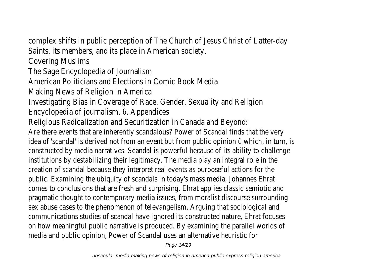complex shifts in public perception of The Church of Jesus Christ of Latter-day Saints, its members, and its place in American society.

Covering Muslims

The Sage Encyclopedia of Journalism

American Politicians and Elections in Comic Book Media

Making News of Religion in America

Investigating Bias in Coverage of Race, Gender, Sexuality and Religion

Encyclopedia of journalism. 6. Appendices

Religious Radicalization and Securitization in Canada and Beyond:

Are there events that are inherently scandalous? Power of Scandal finds that the very idea of 'scandal' is derived not from an event but from public opinion û which, in turn, is constructed by media narratives. Scandal is powerful because of its ability to challenge institutions by destabilizing their legitimacy. The media play an integral role in the creation of scandal because they interpret real events as purposeful actions for the public. Examining the ubiquity of scandals in today's mass media, Johannes Ehrat comes to conclusions that are fresh and surprising. Ehrat applies classic semiotic and pragmatic thought to contemporary media issues, from moralist discourse surrounding sex abuse cases to the phenomenon of televangelism. Arguing that sociological and communications studies of scandal have ignored its constructed nature, Ehrat focuses on how meaningful public narrative is produced. By examining the parallel worlds of media and public opinion, Power of Scandal uses an alternative heuristic for

Page 14/29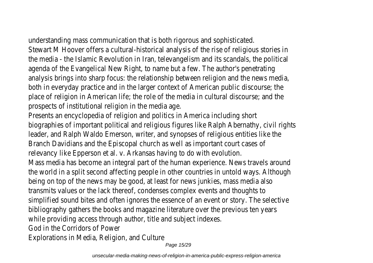understanding mass communication that is both rigorous and sophisticated. Stewart M Hoover offers a cultural-historical analysis of the rise of religious stories in the media - the Islamic Revolution in Iran, televangelism and its scandals, the political agenda of the Evangelical New Right, to name but a few. The author's penetrating analysis brings into sharp focus: the relationship between religion and the news media, both in everyday practice and in the larger context of American public discourse; the place of religion in American life; the role of the media in cultural discourse; and the prospects of institutional religion in the media age.

Presents an encyclopedia of religion and politics in America including short biographies of important political and religious figures like Ralph Abernathy, civil rights leader, and Ralph Waldo Emerson, writer, and synopses of religious entities like the Branch Davidians and the Episcopal church as well as important court cases of relevancy like Epperson et al. v. Arkansas having to do with evolution.

Mass media has become an integral part of the human experience. News travels around the world in a split second affecting people in other countries in untold ways. Although being on top of the news may be good, at least for news junkies, mass media also transmits values or the lack thereof, condenses complex events and thoughts to simplified sound bites and often ignores the essence of an event or story. The selective bibliography gathers the books and magazine literature over the previous ten years while providing access through author, title and subject indexes.

God in the Corridors of Power

Explorations in Media, Religion, and Culture

Page 15/29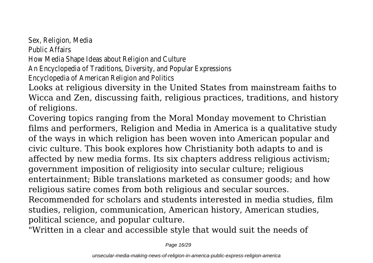Sex, Religion, Media

Public Affairs

How Media Shape Ideas about Religion and Culture

An Encyclopedia of Traditions, Diversity, and Popular Expressions

Encyclopedia of American Religion and Politics

Looks at religious diversity in the United States from mainstream faiths to Wicca and Zen, discussing faith, religious practices, traditions, and history of religions.

Covering topics ranging from the Moral Monday movement to Christian films and performers, Religion and Media in America is a qualitative study of the ways in which religion has been woven into American popular and civic culture. This book explores how Christianity both adapts to and is affected by new media forms. Its six chapters address religious activism; government imposition of religiosity into secular culture; religious entertainment; Bible translations marketed as consumer goods; and how religious satire comes from both religious and secular sources. Recommended for scholars and students interested in media studies, film studies, religion, communication, American history, American studies, political science, and popular culture.

"Written in a clear and accessible style that would suit the needs of

Page 16/29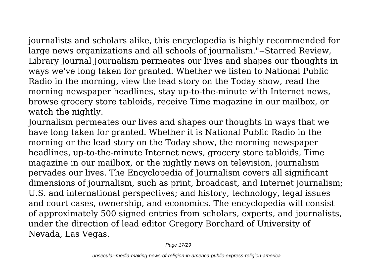journalists and scholars alike, this encyclopedia is highly recommended for large news organizations and all schools of journalism."--Starred Review, Library Journal Journalism permeates our lives and shapes our thoughts in ways we've long taken for granted. Whether we listen to National Public Radio in the morning, view the lead story on the Today show, read the morning newspaper headlines, stay up-to-the-minute with Internet news, browse grocery store tabloids, receive Time magazine in our mailbox, or watch the nightly.

Journalism permeates our lives and shapes our thoughts in ways that we have long taken for granted. Whether it is National Public Radio in the morning or the lead story on the Today show, the morning newspaper headlines, up-to-the-minute Internet news, grocery store tabloids, Time magazine in our mailbox, or the nightly news on television, journalism pervades our lives. The Encyclopedia of Journalism covers all significant dimensions of journalism, such as print, broadcast, and Internet journalism; U.S. and international perspectives; and history, technology, legal issues and court cases, ownership, and economics. The encyclopedia will consist of approximately 500 signed entries from scholars, experts, and journalists, under the direction of lead editor Gregory Borchard of University of Nevada, Las Vegas.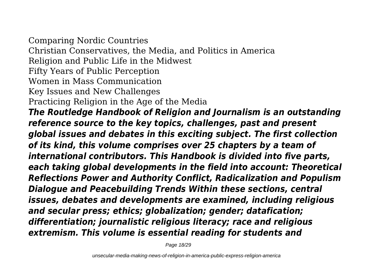Comparing Nordic Countries Christian Conservatives, the Media, and Politics in America Religion and Public Life in the Midwest Fifty Years of Public Perception Women in Mass Communication Key Issues and New Challenges Practicing Religion in the Age of the Media *The Routledge Handbook of Religion and Journalism is an outstanding reference source to the key topics, challenges, past and present global issues and debates in this exciting subject. The first collection of its kind, this volume comprises over 25 chapters by a team of international contributors. This Handbook is divided into five parts, each taking global developments in the field into account: Theoretical Reflections Power and Authority Conflict, Radicalization and Populism Dialogue and Peacebuilding Trends Within these sections, central issues, debates and developments are examined, including religious and secular press; ethics; globalization; gender; datafication; differentiation; journalistic religious literacy; race and religious extremism. This volume is essential reading for students and*

Page 18/29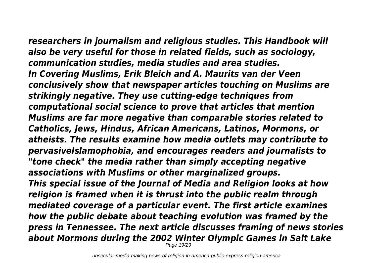*researchers in journalism and religious studies. This Handbook will also be very useful for those in related fields, such as sociology, communication studies, media studies and area studies. In Covering Muslims, Erik Bleich and A. Maurits van der Veen conclusively show that newspaper articles touching on Muslims are strikingly negative. They use cutting-edge techniques from computational social science to prove that articles that mention Muslims are far more negative than comparable stories related to Catholics, Jews, Hindus, African Americans, Latinos, Mormons, or atheists. The results examine how media outlets may contribute to pervasiveIslamophobia, and encourages readers and journalists to "tone check" the media rather than simply accepting negative associations with Muslims or other marginalized groups. This special issue of the Journal of Media and Religion looks at how religion is framed when it is thrust into the public realm through mediated coverage of a particular event. The first article examines how the public debate about teaching evolution was framed by the press in Tennessee. The next article discusses framing of news stories about Mormons during the 2002 Winter Olympic Games in Salt Lake* Page 19/29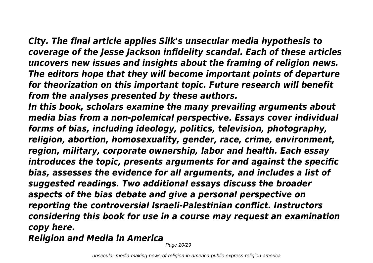*City. The final article applies Silk's unsecular media hypothesis to coverage of the Jesse Jackson infidelity scandal. Each of these articles uncovers new issues and insights about the framing of religion news. The editors hope that they will become important points of departure for theorization on this important topic. Future research will benefit from the analyses presented by these authors.*

*In this book, scholars examine the many prevailing arguments about media bias from a non-polemical perspective. Essays cover individual forms of bias, including ideology, politics, television, photography, religion, abortion, homosexuality, gender, race, crime, environment, region, military, corporate ownership, labor and health. Each essay introduces the topic, presents arguments for and against the specific bias, assesses the evidence for all arguments, and includes a list of suggested readings. Two additional essays discuss the broader aspects of the bias debate and give a personal perspective on reporting the controversial Israeli-Palestinian conflict. Instructors considering this book for use in a course may request an examination copy here.*

*Religion and Media in America*

Page 20/29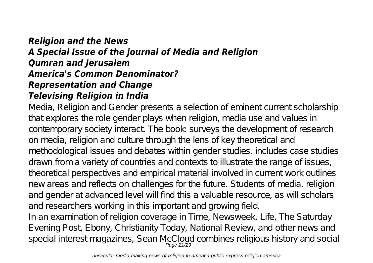## *Religion and the News A Special Issue of the journal of Media and Religion Qumran and Jerusalem America's Common Denominator? Representation and Change Televising Religion in India*

Media, Religion and Gender presents a selection of eminent current scholarship that explores the role gender plays when religion, media use and values in contemporary society interact. The book: surveys the development of research on media, religion and culture through the lens of key theoretical and methodological issues and debates within gender studies. includes case studies drawn from a variety of countries and contexts to illustrate the range of issues, theoretical perspectives and empirical material involved in current work outlines new areas and reflects on challenges for the future. Students of media, religion and gender at advanced level will find this a valuable resource, as will scholars and researchers working in this important and growing field.

In an examination of religion coverage in Time, Newsweek, Life, The Saturday Evening Post, Ebony, Christianity Today, National Review, and other news and special interest magazines, Sean McCloud combines religious history and social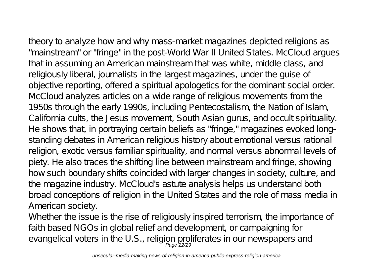theory to analyze how and why mass-market magazines depicted religions as "mainstream" or "fringe" in the post-World War II United States. McCloud argues that in assuming an American mainstream that was white, middle class, and religiously liberal, journalists in the largest magazines, under the guise of objective reporting, offered a spiritual apologetics for the dominant social order. McCloud analyzes articles on a wide range of religious movements from the 1950s through the early 1990s, including Pentecostalism, the Nation of Islam, California cults, the Jesus movement, South Asian gurus, and occult spirituality. He shows that, in portraying certain beliefs as "fringe," magazines evoked longstanding debates in American religious history about emotional versus rational religion, exotic versus familiar spirituality, and normal versus abnormal levels of piety. He also traces the shifting line between mainstream and fringe, showing how such boundary shifts coincided with larger changes in society, culture, and the magazine industry. McCloud's astute analysis helps us understand both broad conceptions of religion in the United States and the role of mass media in American society.

Whether the issue is the rise of religiously inspired terrorism, the importance of faith based NGOs in global relief and development, or campaigning for evangelical voters in the U.S., religion proliferates in our newspapers and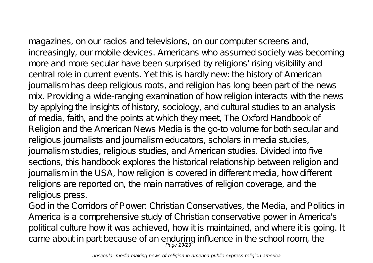magazines, on our radios and televisions, on our computer screens and, increasingly, our mobile devices. Americans who assumed society was becoming more and more secular have been surprised by religions' rising visibility and central role in current events. Yet this is hardly new: the history of American journalism has deep religious roots, and religion has long been part of the news mix. Providing a wide-ranging examination of how religion interacts with the news by applying the insights of history, sociology, and cultural studies to an analysis of media, faith, and the points at which they meet, The Oxford Handbook of Religion and the American News Media is the go-to volume for both secular and religious journalists and journalism educators, scholars in media studies, journalism studies, religious studies, and American studies. Divided into five sections, this handbook explores the historical relationship between religion and journalism in the USA, how religion is covered in different media, how different religions are reported on, the main narratives of religion coverage, and the religious press.

God in the Corridors of Power: Christian Conservatives, the Media, and Politics in America is a comprehensive study of Christian conservative power in America's political culture how it was achieved, how it is maintained, and where it is going. It came about in part because of an enduring influence in the school room, the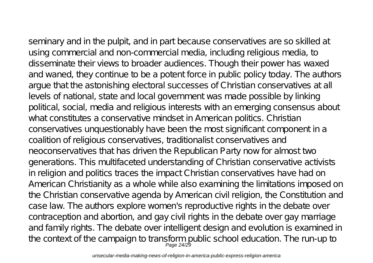seminary and in the pulpit, and in part because conservatives are so skilled at using commercial and non-commercial media, including religious media, to disseminate their views to broader audiences. Though their power has waxed and waned, they continue to be a potent force in public policy today. The authors argue that the astonishing electoral successes of Christian conservatives at all levels of national, state and local government was made possible by linking political, social, media and religious interests with an emerging consensus about what constitutes a conservative mindset in American politics. Christian conservatives unquestionably have been the most significant component in a coalition of religious conservatives, traditionalist conservatives and neoconservatives that has driven the Republican Party now for almost two generations. This multifaceted understanding of Christian conservative activists in religion and politics traces the impact Christian conservatives have had on American Christianity as a whole while also examining the limitations imposed on the Christian conservative agenda by American civil religion, the Constitution and case law. The authors explore women's reproductive rights in the debate over contraception and abortion, and gay civil rights in the debate over gay marriage and family rights. The debate over intelligent design and evolution is examined in the context of the campaign to transform public school education. The run-up to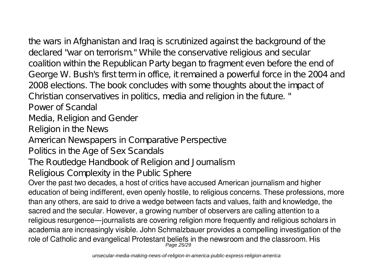the wars in Afghanistan and Iraq is scrutinized against the background of the declared "war on terrorism." While the conservative religious and secular coalition within the Republican Party began to fragment even before the end of George W. Bush's first term in office, it remained a powerful force in the 2004 and 2008 elections. The book concludes with some thoughts about the impact of Christian conservatives in politics, media and religion in the future. "

Power of Scandal

Media, Religion and Gender

Religion in the News

American Newspapers in Comparative Perspective

Politics in the Age of Sex Scandals

The Routledge Handbook of Religion and Journalism

Religious Complexity in the Public Sphere

Over the past two decades, a host of critics have accused American journalism and higher education of being indifferent, even openly hostile, to religious concerns. These professions, more than any others, are said to drive a wedge between facts and values, faith and knowledge, the sacred and the secular. However, a growing number of observers are calling attention to a religious resurgence—journalists are covering religion more frequently and religious scholars in academia are increasingly visible. John Schmalzbauer provides a compelling investigation of the role of Catholic and evangelical Protestant beliefs in the newsroom and the classroom. His Page 25/29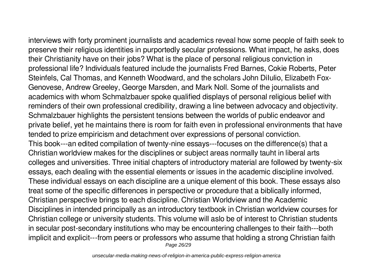interviews with forty prominent journalists and academics reveal how some people of faith seek to preserve their religious identities in purportedly secular professions. What impact, he asks, does their Christianity have on their jobs? What is the place of personal religious conviction in professional life? Individuals featured include the journalists Fred Barnes, Cokie Roberts, Peter Steinfels, Cal Thomas, and Kenneth Woodward, and the scholars John DiIulio, Elizabeth Fox-Genovese, Andrew Greeley, George Marsden, and Mark Noll. Some of the journalists and academics with whom Schmalzbauer spoke qualified displays of personal religious belief with reminders of their own professional credibility, drawing a line between advocacy and objectivity. Schmalzbauer highlights the persistent tensions between the worlds of public endeavor and private belief, yet he maintains there is room for faith even in professional environments that have tended to prize empiricism and detachment over expressions of personal conviction. This book---an edited compilation of twenty-nine essays---focuses on the difference(s) that a Christian worldview makes for the disciplines or subject areas normally tauht in liberal arts colleges and universities. Three initial chapters of introductory material are followed by twenty-six essays, each dealing with the essential elements or issues in the academic discipline involved. These individual essays on each discipline are a unique element of this book. These essays also treat some of the specific differences in perspective or procedure that a biblically informed, Christian perspective brings to each discipline. Christian Worldview and the Academic Disciplines in intended principally as an introductory textbook in Christian worldview courses for Christian college or university students. This volume will aslo be of interest to Christian students in secular post-secondary institutions who may be encountering challenges to their faith---both implicit and explicit---from peers or professors who assume that holding a strong Christian faith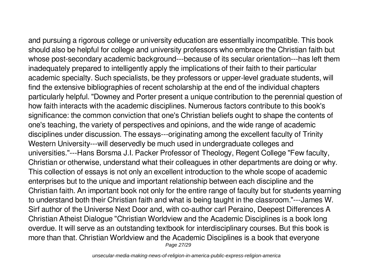and pursuing a rigorous college or university education are essentially incompatible. This book should also be helpful for college and university professors who embrace the Christian faith but whose post-secondary academic background---because of its secular orientation---has left them inadequately prepared to intelligently apply the implications of their faith to their particular academic specialty. Such specialists, be they professors or upper-level graduate students, will find the extensive bibliographies of recent scholarship at the end of the individual chapters particularly helpful. "Downey and Porter present a unique contribution to the perennial question of how faith interacts with the academic disciplines. Numerous factors contribute to this book's significance: the common conviction that one's Christian beliefs ought to shape the contents of one's teaching, the variety of perspectives and opinions, and the wide range of academic disciplines under discussion. The essays---originating among the excellent faculty of Trinity Western University---will deservedly be much used in undergraduate colleges and universities."---Hans Borsma J.I. Packer Professor of Theology, Regent College "Few faculty, Christian or otherwise, understand what their colleagues in other departments are doing or why. This collection of essays is not only an excellent introduction to the whole scope of academic enterprises but to the unique and important relationship between each discipline and the Christian faith. An important book not only for the entire range of faculty but for students yearning to understand both their Christian faith and what is being taught in the classroom."---James W. Sirf author of the Universe Next Door and, with co-author carl Peraino, Deepest Differences A Christian Atheist Dialogue "Christian Worldview and the Academic Disciplines is a book long overdue. It will serve as an outstanding textbook for interdisciplinary courses. But this book is more than that. Christian Worldview and the Academic Disciplines is a book that everyone Page 27/29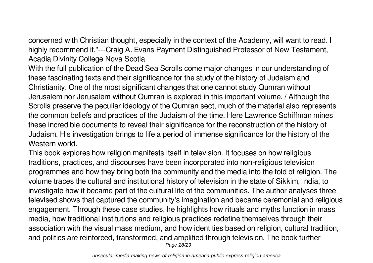concerned with Christian thought, especially in the context of the Academy, will want to read. I highly recommend it."---Craig A. Evans Payment Distinguished Professor of New Testament, Acadia Divinity College Nova Scotia

With the full publication of the Dead Sea Scrolls come major changes in our understanding of these fascinating texts and their significance for the study of the history of Judaism and Christianity. One of the most significant changes that one cannot study Qumran without Jerusalem nor Jerusalem without Qumran is explored in this important volume. / Although the Scrolls preserve the peculiar ideology of the Qumran sect, much of the material also represents the common beliefs and practices of the Judaism of the time. Here Lawrence Schiffman mines these incredible documents to reveal their significance for the reconstruction of the history of Judaism. His investigation brings to life a period of immense significance for the history of the Western world

This book explores how religion manifests itself in television. It focuses on how religious traditions, practices, and discourses have been incorporated into non-religious television programmes and how they bring both the community and the media into the fold of religion. The volume traces the cultural and institutional history of television in the state of Sikkim, India, to investigate how it became part of the cultural life of the communities. The author analyses three televised shows that captured the community's imagination and became ceremonial and religious engagement. Through these case studies, he highlights how rituals and myths function in mass media, how traditional institutions and religious practices redefine themselves through their association with the visual mass medium, and how identities based on religion, cultural tradition, and politics are reinforced, transformed, and amplified through television. The book further Page 28/29